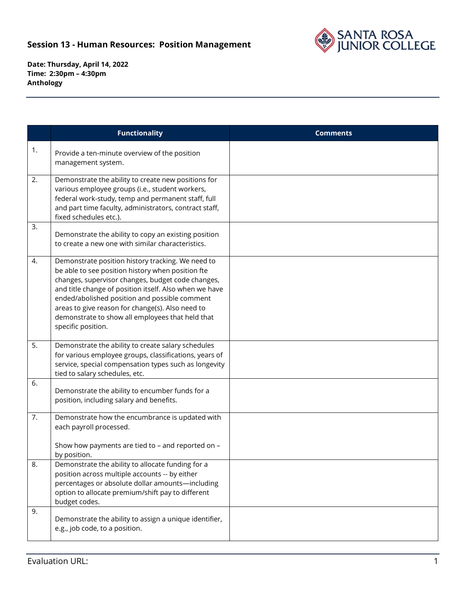

**Date: Thursday, April 14, 2022 Time: 2:30pm – 4:30pm Anthology**

|    | <b>Functionality</b>                                                                                                                                                                                                                                                                                                                                                                                 | <b>Comments</b> |
|----|------------------------------------------------------------------------------------------------------------------------------------------------------------------------------------------------------------------------------------------------------------------------------------------------------------------------------------------------------------------------------------------------------|-----------------|
| 1. | Provide a ten-minute overview of the position<br>management system.                                                                                                                                                                                                                                                                                                                                  |                 |
| 2. | Demonstrate the ability to create new positions for<br>various employee groups (i.e., student workers,<br>federal work-study, temp and permanent staff, full<br>and part time faculty, administrators, contract staff,<br>fixed schedules etc.).                                                                                                                                                     |                 |
| 3. | Demonstrate the ability to copy an existing position<br>to create a new one with similar characteristics.                                                                                                                                                                                                                                                                                            |                 |
| 4. | Demonstrate position history tracking. We need to<br>be able to see position history when position fte<br>changes, supervisor changes, budget code changes,<br>and title change of position itself. Also when we have<br>ended/abolished position and possible comment<br>areas to give reason for change(s). Also need to<br>demonstrate to show all employees that held that<br>specific position. |                 |
| 5. | Demonstrate the ability to create salary schedules<br>for various employee groups, classifications, years of<br>service, special compensation types such as longevity<br>tied to salary schedules, etc.                                                                                                                                                                                              |                 |
| 6. | Demonstrate the ability to encumber funds for a<br>position, including salary and benefits.                                                                                                                                                                                                                                                                                                          |                 |
| 7. | Demonstrate how the encumbrance is updated with<br>each payroll processed.<br>Show how payments are tied to - and reported on -<br>by position.                                                                                                                                                                                                                                                      |                 |
| 8. | Demonstrate the ability to allocate funding for a<br>position across multiple accounts -- by either<br>percentages or absolute dollar amounts-including<br>option to allocate premium/shift pay to different<br>budget codes.                                                                                                                                                                        |                 |
| 9. | Demonstrate the ability to assign a unique identifier,<br>e.g., job code, to a position.                                                                                                                                                                                                                                                                                                             |                 |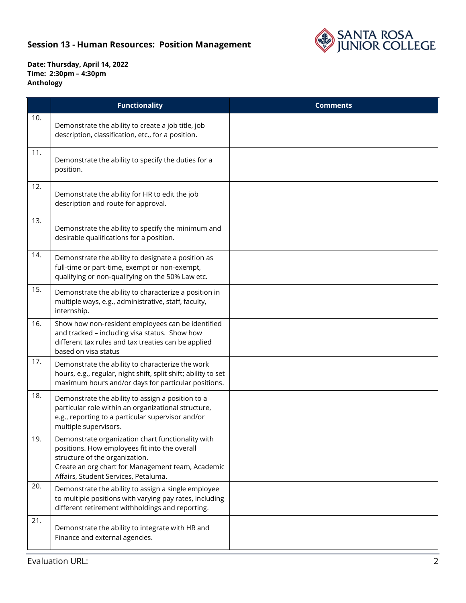## **Session 13 - Human Resources: Position Management**



**Date: Thursday, April 14, 2022 Time: 2:30pm – 4:30pm Anthology**

|     | <b>Functionality</b>                                                                                                                                                                                                              | <b>Comments</b> |
|-----|-----------------------------------------------------------------------------------------------------------------------------------------------------------------------------------------------------------------------------------|-----------------|
| 10. | Demonstrate the ability to create a job title, job<br>description, classification, etc., for a position.                                                                                                                          |                 |
| 11. | Demonstrate the ability to specify the duties for a<br>position.                                                                                                                                                                  |                 |
| 12. | Demonstrate the ability for HR to edit the job<br>description and route for approval.                                                                                                                                             |                 |
| 13. | Demonstrate the ability to specify the minimum and<br>desirable qualifications for a position.                                                                                                                                    |                 |
| 14. | Demonstrate the ability to designate a position as<br>full-time or part-time, exempt or non-exempt,<br>qualifying or non-qualifying on the 50% Law etc.                                                                           |                 |
| 15. | Demonstrate the ability to characterize a position in<br>multiple ways, e.g., administrative, staff, faculty,<br>internship.                                                                                                      |                 |
| 16. | Show how non-resident employees can be identified<br>and tracked - including visa status. Show how<br>different tax rules and tax treaties can be applied<br>based on visa status                                                 |                 |
| 17. | Demonstrate the ability to characterize the work<br>hours, e.g., regular, night shift, split shift; ability to set<br>maximum hours and/or days for particular positions.                                                         |                 |
| 18. | Demonstrate the ability to assign a position to a<br>particular role within an organizational structure,<br>e.g., reporting to a particular supervisor and/or<br>multiple supervisors.                                            |                 |
| 19. | Demonstrate organization chart functionality with<br>positions. How employees fit into the overall<br>structure of the organization.<br>Create an org chart for Management team, Academic<br>Affairs, Student Services, Petaluma. |                 |
| 20. | Demonstrate the ability to assign a single employee<br>to multiple positions with varying pay rates, including<br>different retirement withholdings and reporting.                                                                |                 |
| 21. | Demonstrate the ability to integrate with HR and<br>Finance and external agencies.                                                                                                                                                |                 |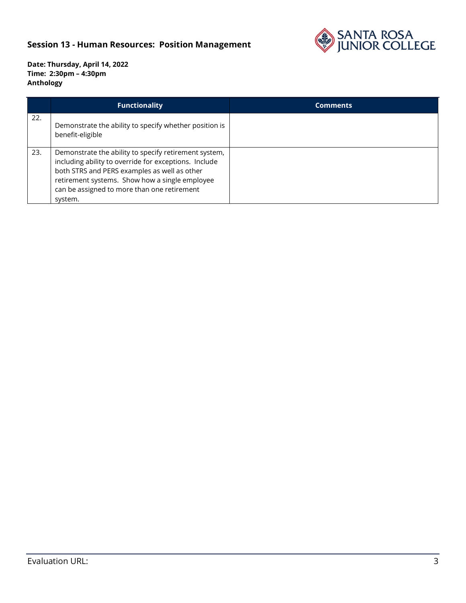## **Session 13 - Human Resources: Position Management**



**Date: Thursday, April 14, 2022 Time: 2:30pm – 4:30pm Anthology**

|     | <b>Functionality</b>                                                                                                                                                                                                                                                       | <b>Comments</b> |
|-----|----------------------------------------------------------------------------------------------------------------------------------------------------------------------------------------------------------------------------------------------------------------------------|-----------------|
| 22. | Demonstrate the ability to specify whether position is<br>benefit-eligible                                                                                                                                                                                                 |                 |
| 23. | Demonstrate the ability to specify retirement system,<br>including ability to override for exceptions. Include<br>both STRS and PERS examples as well as other<br>retirement systems. Show how a single employee<br>can be assigned to more than one retirement<br>system. |                 |